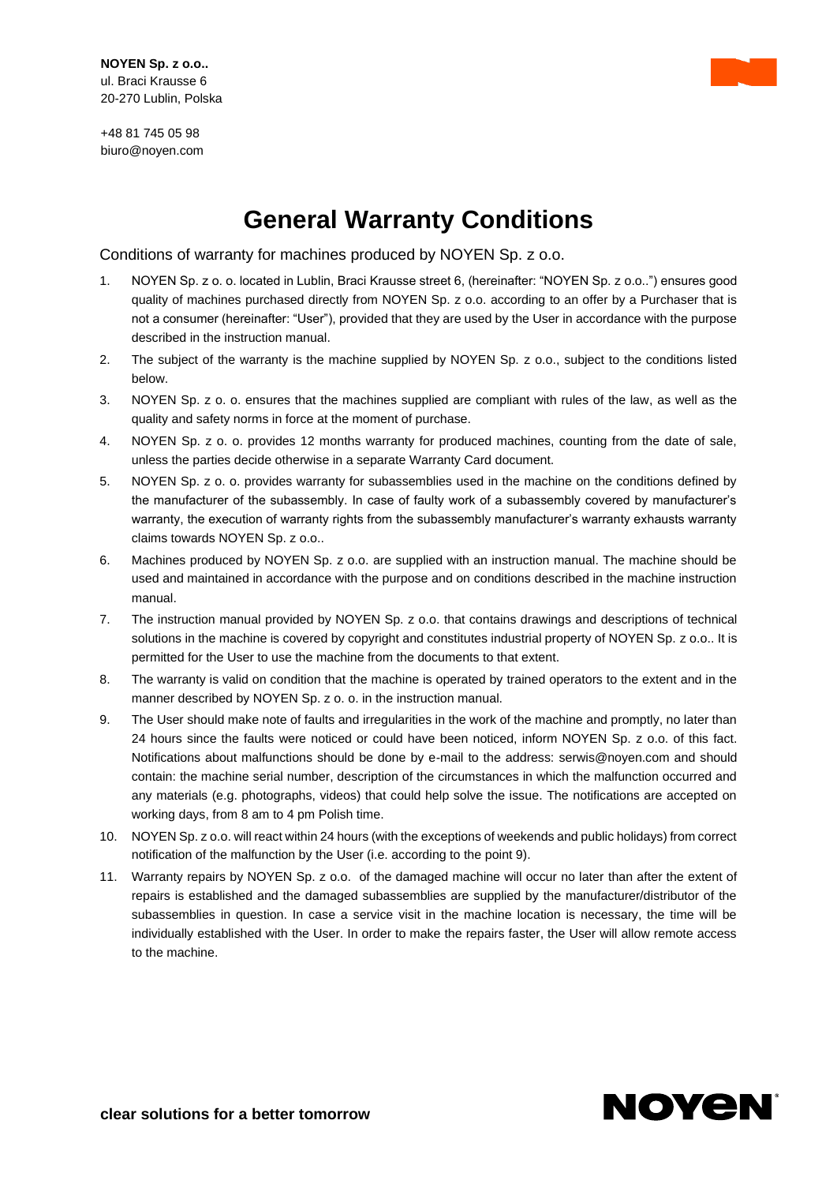+48 81 745 05 98 biuro@noyen.com

## **General Warranty Conditions**

Conditions of warranty for machines produced by NOYEN Sp. z o.o.

- 1. NOYEN Sp. z o. o. located in Lublin, Braci Krausse street 6, (hereinafter: "NOYEN Sp. z o.o..") ensures good quality of machines purchased directly from NOYEN Sp. z o.o. according to an offer by a Purchaser that is not a consumer (hereinafter: "User"), provided that they are used by the User in accordance with the purpose described in the instruction manual.
- 2. The subject of the warranty is the machine supplied by NOYEN Sp. z o.o., subject to the conditions listed below.
- 3. NOYEN Sp. z o. o. ensures that the machines supplied are compliant with rules of the law, as well as the quality and safety norms in force at the moment of purchase.
- 4. NOYEN Sp. z o. o. provides 12 months warranty for produced machines, counting from the date of sale, unless the parties decide otherwise in a separate Warranty Card document.
- 5. NOYEN Sp. z o. o. provides warranty for subassemblies used in the machine on the conditions defined by the manufacturer of the subassembly. In case of faulty work of a subassembly covered by manufacturer's warranty, the execution of warranty rights from the subassembly manufacturer's warranty exhausts warranty claims towards NOYEN Sp. z o.o..
- 6. Machines produced by NOYEN Sp. z o.o. are supplied with an instruction manual. The machine should be used and maintained in accordance with the purpose and on conditions described in the machine instruction manual.
- 7. The instruction manual provided by NOYEN Sp. z o.o. that contains drawings and descriptions of technical solutions in the machine is covered by copyright and constitutes industrial property of NOYEN Sp. z o.o.. It is permitted for the User to use the machine from the documents to that extent.
- 8. The warranty is valid on condition that the machine is operated by trained operators to the extent and in the manner described by NOYEN Sp. z o. o. in the instruction manual.
- 9. The User should make note of faults and irregularities in the work of the machine and promptly, no later than 24 hours since the faults were noticed or could have been noticed, inform NOYEN Sp. z o.o. of this fact. Notifications about malfunctions should be done by e-mail to the address: [serwis@noyen.com](mailto:serwis@noyen.com) and should contain: the machine serial number, description of the circumstances in which the malfunction occurred and any materials (e.g. photographs, videos) that could help solve the issue. The notifications are accepted on working days, from 8 am to 4 pm Polish time.
- 10. NOYEN Sp. z o.o. will react within 24 hours (with the exceptions of weekends and public holidays) from correct notification of the malfunction by the User (i.e. according to the point 9).
- 11. Warranty repairs by NOYEN Sp. z o.o. of the damaged machine will occur no later than after the extent of repairs is established and the damaged subassemblies are supplied by the manufacturer/distributor of the subassemblies in question. In case a service visit in the machine location is necessary, the time will be individually established with the User. In order to make the repairs faster, the User will allow remote access to the machine.

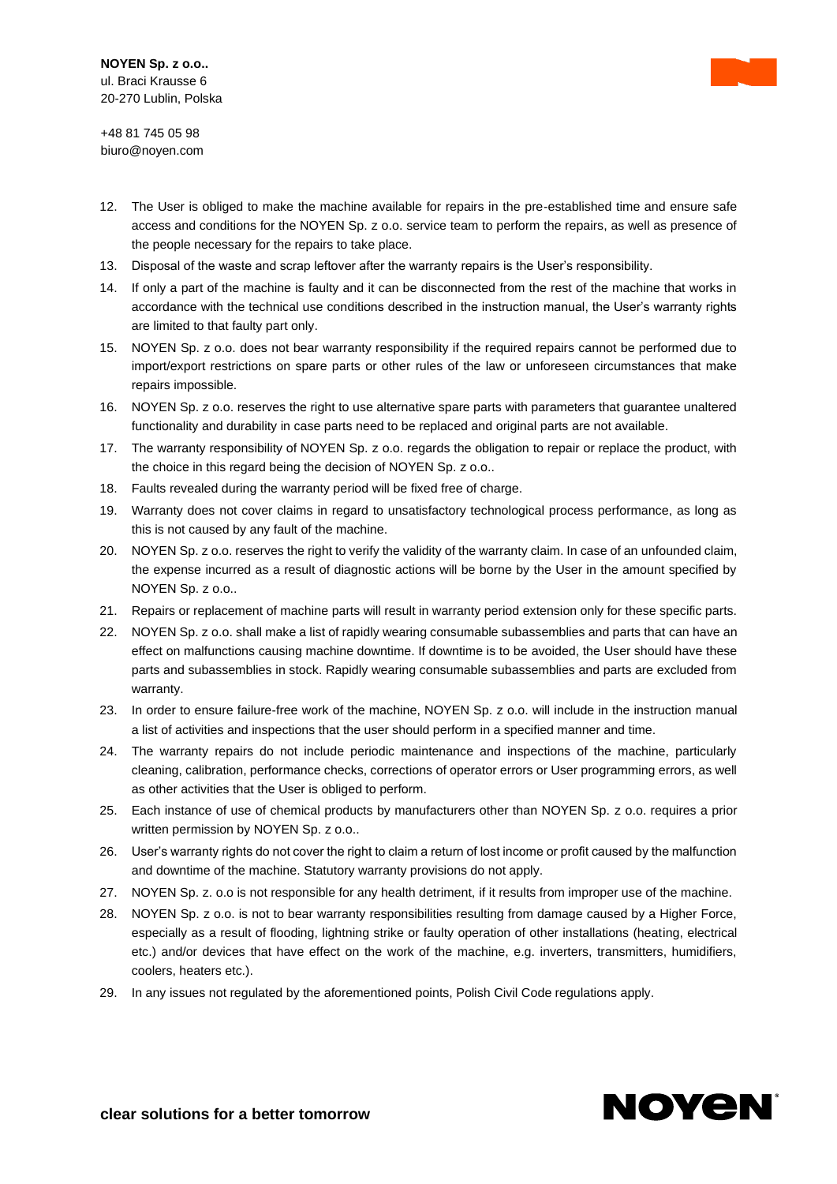+48 81 745 05 98 biuro@noyen.com

- 12. The User is obliged to make the machine available for repairs in the pre-established time and ensure safe access and conditions for the NOYEN Sp. z o.o. service team to perform the repairs, as well as presence of the people necessary for the repairs to take place.
- 13. Disposal of the waste and scrap leftover after the warranty repairs is the User's responsibility.
- 14. If only a part of the machine is faulty and it can be disconnected from the rest of the machine that works in accordance with the technical use conditions described in the instruction manual, the User's warranty rights are limited to that faulty part only.
- 15. NOYEN Sp. z o.o. does not bear warranty responsibility if the required repairs cannot be performed due to import/export restrictions on spare parts or other rules of the law or unforeseen circumstances that make repairs impossible.
- 16. NOYEN Sp. z o.o. reserves the right to use alternative spare parts with parameters that guarantee unaltered functionality and durability in case parts need to be replaced and original parts are not available.
- 17. The warranty responsibility of NOYEN Sp. z o.o. regards the obligation to repair or replace the product, with the choice in this regard being the decision of NOYEN Sp. z o.o..
- 18. Faults revealed during the warranty period will be fixed free of charge.
- 19. Warranty does not cover claims in regard to unsatisfactory technological process performance, as long as this is not caused by any fault of the machine.
- 20. NOYEN Sp. z o.o. reserves the right to verify the validity of the warranty claim. In case of an unfounded claim, the expense incurred as a result of diagnostic actions will be borne by the User in the amount specified by NOYEN Sp. z o.o..
- 21. Repairs or replacement of machine parts will result in warranty period extension only for these specific parts.
- 22. NOYEN Sp. z o.o. shall make a list of rapidly wearing consumable subassemblies and parts that can have an effect on malfunctions causing machine downtime. If downtime is to be avoided, the User should have these parts and subassemblies in stock. Rapidly wearing consumable subassemblies and parts are excluded from warranty.
- 23. In order to ensure failure-free work of the machine, NOYEN Sp. z o.o. will include in the instruction manual a list of activities and inspections that the user should perform in a specified manner and time.
- 24. The warranty repairs do not include periodic maintenance and inspections of the machine, particularly cleaning, calibration, performance checks, corrections of operator errors or User programming errors, as well as other activities that the User is obliged to perform.
- 25. Each instance of use of chemical products by manufacturers other than NOYEN Sp. z o.o. requires a prior written permission by NOYEN Sp. z o.o..
- 26. User's warranty rights do not cover the right to claim a return of lost income or profit caused by the malfunction and downtime of the machine. Statutory warranty provisions do not apply.
- 27. NOYEN Sp. z. o.o is not responsible for any health detriment, if it results from improper use of the machine.
- 28. NOYEN Sp. z o.o. is not to bear warranty responsibilities resulting from damage caused by a Higher Force, especially as a result of flooding, lightning strike or faulty operation of other installations (heating, electrical etc.) and/or devices that have effect on the work of the machine, e.g. inverters, transmitters, humidifiers, coolers, heaters etc.).
- 29. In any issues not regulated by the aforementioned points, Polish Civil Code regulations apply.